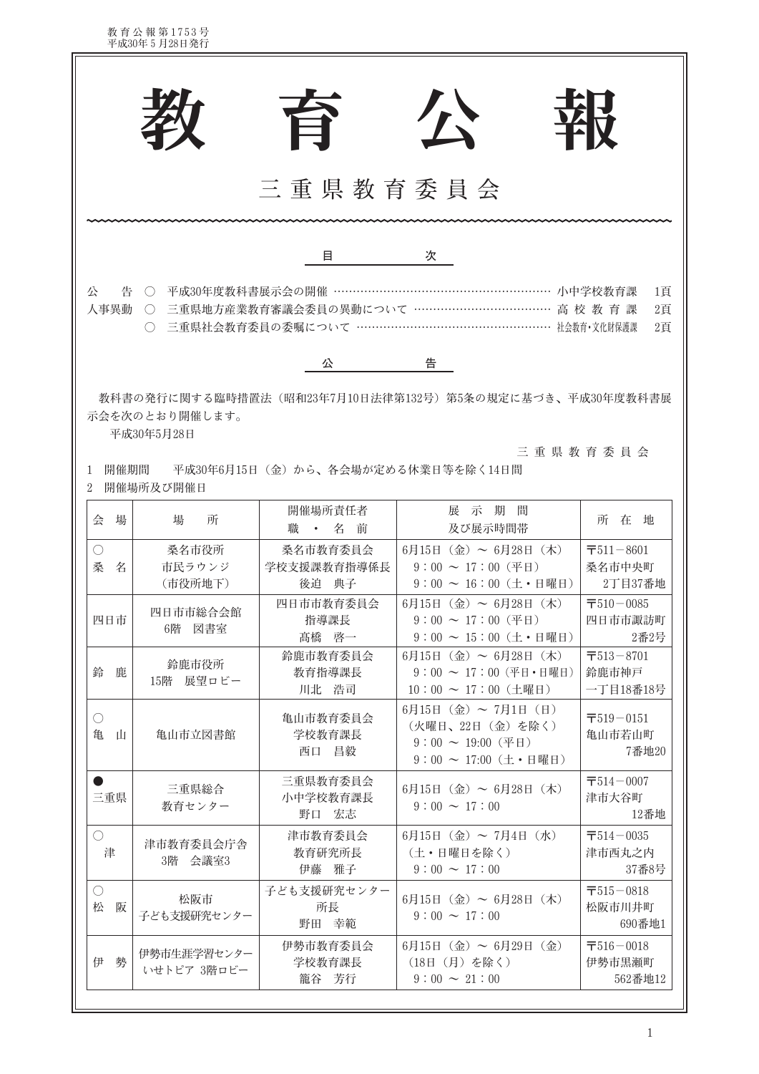教育公報第1753号<br>平成30年5月28日発行

F

|                                                                                                                                                                                                                                           |                            | 台                                     | 公                                                                                                                               | 珞                                              |  |  |  |  |
|-------------------------------------------------------------------------------------------------------------------------------------------------------------------------------------------------------------------------------------------|----------------------------|---------------------------------------|---------------------------------------------------------------------------------------------------------------------------------|------------------------------------------------|--|--|--|--|
| 三重県教育委員会                                                                                                                                                                                                                                  |                            |                                       |                                                                                                                                 |                                                |  |  |  |  |
|                                                                                                                                                                                                                                           |                            | 目                                     | 次                                                                                                                               |                                                |  |  |  |  |
| 平成30年度教科書展示会の開催 ………………………………………………… 小中学校教育課<br>公<br>告<br>1頁<br>$\left(\begin{array}{c} \end{array}\right)$<br>○ 三重県地方産業教育審議会委員の異動について ……………………………… 高 校 教 育 課<br>人事異動<br>2頁<br>三重県社会教育委員の委嘱について …………………………………………… 社会教育·文化財保護課<br>2頁<br>( ) |                            |                                       |                                                                                                                                 |                                                |  |  |  |  |
|                                                                                                                                                                                                                                           |                            | 公                                     | 告                                                                                                                               |                                                |  |  |  |  |
| 教科書の発行に関する臨時措置法 (昭和23年7月10日法律第132号) 第5条の規定に基づき、平成30年度教科書展<br>示会を次のとおり開催します。<br>平成30年5月28日<br>三重県教育委員会<br>開催期間<br>平成30年6月15日 (金) から、各会場が定める休業日等を除く14日間<br>1<br>開催場所及び開催日<br>2                                                              |                            |                                       |                                                                                                                                 |                                                |  |  |  |  |
| 場<br>会                                                                                                                                                                                                                                    | 場<br>所                     | 開催場所責任者<br>職<br>名<br>前<br>$\bullet$ . | 展示期間<br>及び展示時間帯                                                                                                                 | 所在地                                            |  |  |  |  |
| $\bigcirc$<br>桑<br>名                                                                                                                                                                                                                      | 桑名市役所<br>市民ラウンジ<br>(市役所地下) | 桑名市教育委員会<br>学校支援課教育指導係長<br>後迫 典子      | $6\overline{5}15\overline{5}$ (金) ~ $6\overline{5}28\overline{5}$ (木)<br>$9:00 \sim 17:00$ (平日)<br>$9:00 \sim 16:00$ (土·日曜日)    | $\overline{7}511 - 8601$<br>桑名市中央町<br>2丁目37番地  |  |  |  |  |
| 四日市                                                                                                                                                                                                                                       | 四日市市総合会館<br>6階 図書室         | 四日市市教育委員会<br>指導課長<br>髙橋 啓一            | $6\overline{5}15\overline{5}$ (金) ~ $6\overline{5}28\overline{5}$ (木)<br>$9:00 \sim 17:00$ (平日)<br>$9:00 \sim 15:00$ (土·日曜日)    | $\overline{7}510 - 0085$<br>四日市市諏訪町<br>2番2号    |  |  |  |  |
| 鈴<br>鹿                                                                                                                                                                                                                                    | 鈴鹿市役所<br>15階 展望ロビー         | 鈴鹿市教育委員会<br>教育指導課長<br>川北 浩司           | $6\overline{5}15\overline{5}$ (金) ~ $6\overline{5}28\overline{5}$ (木)<br>$9:00 \sim 17:00$ (平日·日曜日)<br>$10:00 \sim 17:00$ (土曜日) | $\overline{7}513 - 8701$<br>鈴鹿市神戸<br>一丁目18番18号 |  |  |  |  |
| $\bigcirc$<br>亀<br>山                                                                                                                                                                                                                      | 亀山市立図書館                    | 亀山市教育委員会<br>学校教育課長<br>西口 昌毅           | $6\overline{5}15\overline{5}$ (金) ~ 7月1日 (日)<br>(火曜日、22日 (金) を除く)<br>$9:00 \sim 19:00$ (平日)<br>$9:00 \sim 17:00$ (土·日曜日)        | $\overline{7}519 - 0151$<br>亀山市若山町<br>7番地20    |  |  |  |  |
| $\bullet$<br>三重県                                                                                                                                                                                                                          | 三重県総合<br>教育センター            | 三重県教育委員会<br>小中学校教育課長<br>野口 宏志         | $6\overline{5}15\overline{5}$ (金) ~ $6\overline{5}28\overline{5}$ (木)<br>$9:00 \sim 17:00$                                      | $\overline{7}514 - 0007$<br>津市大谷町<br>12番地      |  |  |  |  |
| $\bigcirc$<br>津                                                                                                                                                                                                                           | 津市教育委員会庁舎<br>3階 会議室3       | 津市教育委員会<br>教育研究所長<br>伊藤 雅子            | 6月15日 (金) ~ 7月4日 (水)<br>(土·日曜日を除く)<br>$9:00 \sim 17:00$                                                                         | $\overline{7}514 - 0035$<br>津市西丸之内<br>37番8号    |  |  |  |  |
| $\bigcirc$<br>松<br>阪                                                                                                                                                                                                                      | 松阪市<br>子ども支援研究センター         | 子ども支援研究センター<br>所長<br>野田 幸範            | $6\overline{5}15\overline{5}$ (金) ~ $6\overline{5}28\overline{5}$ (木)<br>$9:00 \sim 17:00$                                      | $\overline{7}515 - 0818$<br>松阪市川井町<br>690番地1   |  |  |  |  |
| 勢<br>伊                                                                                                                                                                                                                                    | 伊勢市生涯学習センター<br>いせトピア 3階ロビー | 伊勢市教育委員会<br>学校教育課長<br>籠谷 芳行           | 6月15日 (金) ~ 6月29日 (金)<br>(18日 (月) を除く)<br>$9:00 \sim 21:00$                                                                     | $\overline{7}516 - 0018$<br>伊勢市黒瀬町<br>562番地12  |  |  |  |  |